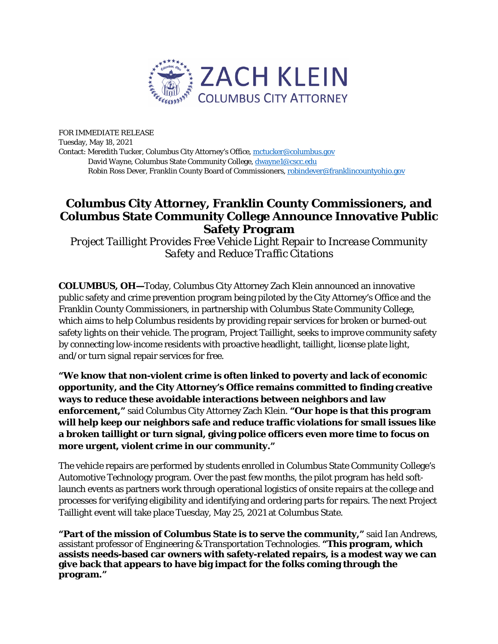

FOR IMMEDIATE RELEASE Tuesday, May 18, 2021 Contact: Meredith Tucker, Columbus City Attorney's Office, [mctucker@columbus.gov](mailto:mctucker@columbus.gov) David Wayne, Columbus State Community College[, dwayne1@cscc.edu](mailto:dwayne1@cscc.edu) Robin Ross Dever, Franklin County Board of Commissioners, [robindever@franklincountyohio.gov](mailto:robindever@franklincountyohio.gov)

## **Columbus City Attorney, Franklin County Commissioners, and Columbus State Community College Announce Innovative Public Safety Program**

*Project Taillight Provides Free Vehicle Light Repair to Increase Community Safety and Reduce Traffic Citations*

**COLUMBUS, OH—**Today, Columbus City Attorney Zach Klein announced an innovative public safety and crime prevention program being piloted by the City Attorney's Office and the Franklin County Commissioners, in partnership with Columbus State Community College, which aims to help Columbus residents by providing repair services for broken or burned-out safety lights on their vehicle. The program, Project Taillight, seeks to improve community safety by connecting low-income residents with proactive headlight, taillight, license plate light, and/or turn signal repair services for free.

**"We know that non-violent crime is often linked to poverty and lack of economic opportunity, and the City Attorney's Office remains committed to finding creative ways to reduce these avoidable interactions between neighbors and law enforcement,"** said Columbus City Attorney Zach Klein. **"Our hope is that this program will help keep our neighbors safe and reduce traffic violations for small issues like a broken taillight or turn signal, giving police officers even more time to focus on more urgent, violent crime in our community."** 

The vehicle repairs are performed by students enrolled in Columbus State Community College's Automotive Technology program. Over the past few months, the pilot program has held softlaunch events as partners work through operational logistics of onsite repairs at the college and processes for verifying eligibility and identifying and ordering parts for repairs. The next Project Taillight event will take place Tuesday, May 25, 2021 at Columbus State.

**"Part of the mission of Columbus State is to serve the community,"** said Ian Andrews, assistant professor of Engineering & Transportation Technologies. **"This program, which assists needs-based car owners with safety-related repairs, is a modest way we can give back that appears to have big impact for the folks coming through the program."**